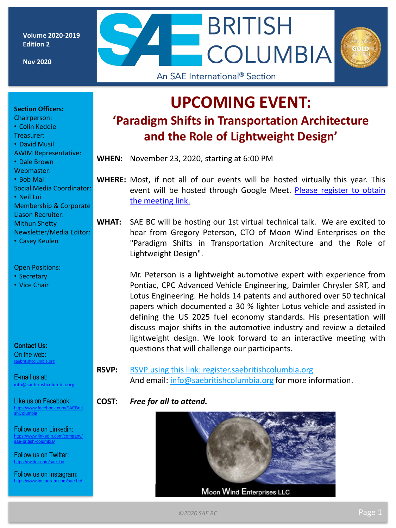**Volume 2020-2019 Edition 2**

**Nov 2020**

## **UPCOMING EVENT: 'Paradigm Shifts in Transportation Architecture and the Role of Lightweight Design'**

 $-$ BRITISH

An SAE International<sup>®</sup> Section

**COLUMBIA** 

**WHEN:** November 23, 2020, starting at 6:00 PM

**WHERE:** Most, if not all of our events will be hosted virtually this year. This event will be hosted through Google Meet. Please register to obtain the [meeting](http://register.saebritishcolumbia.org/) link.

**WHAT:** SAE BC will be hosting our 1st virtual technical talk. We are excited to hear from Gregory Peterson, CTO of Moon Wind Enterprises on the "Paradigm Shifts in Transportation Architecture and the Role of Lightweight Design".

> Mr. Peterson is a lightweight automotive expert with experience from Pontiac, CPC Advanced Vehicle Engineering, Daimler Chrysler SRT, and Lotus Engineering. He holds 14 patents and authored over 50 technical papers which documented a 30 % lighter Lotus vehicle and assisted in defining the US 2025 fuel economy standards. His presentation will discuss major shifts in the automotive industry and review a detailed lightweight design. We look forward to an interactive meeting with questions that will challenge our participants.

**RSVP:** RSVP using this link: [register.saebritishcolumbia.org](http://register.saebritishcolumbia.org/) And email: [info@saebritishcolumbia.org](mailto:info@saebritishcolumbia.org) for more information.

#### **COST:** *Free for all to attend.*



**Section Officers:** 

- Chairperson:
- Colin Keddie
- Treasurer:
- David Musil
- AWIM Representative:
- Dale Brown
- Webmaster: • Bob Mai
- Social Media Coordinator:
- Neil Lui
- Membership & Corporate Liason Recruiter: Mithun Shetty
- Newsletter/Media Editor:
- Casey Keulen

#### Open Positions:

- Secretary
- Vice Chair

**Contact Us:** On the web: [saebritishcolumbia.org](http://www.britishcolumbia.sae.org) 

E-mail us at: [info@saebritishcolumbia.org](mailto:info@saebritishcolumbia.org)

Like us on Facebook: [https://www.facebook.com/SAEBriti](https://www.facebook.com/SAEBritishColumbia) shColumbia

Follow us on Linkedin: [https://www.linkedin.com/company/](https://www.linkedin.com/company/sae-british-columbia/) sae-british-columbia/

Follow us on Twitter: is://twitter.com/sae\_bc

Follow us on Instagram: <https://www.instagram.com/sae.bc/>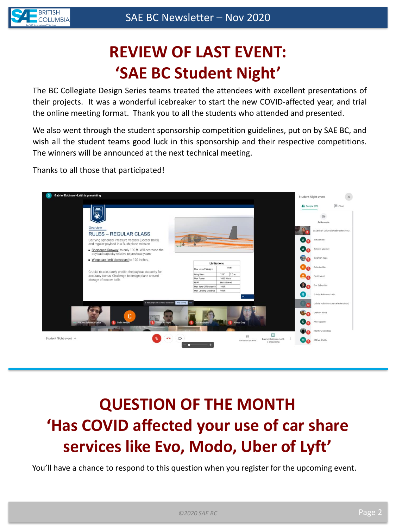

## **REVIEW OF LAST EVENT: 'SAE BC Student Night'**

The BC Collegiate Design Series teams treated the attendees with excellent presentations of their projects. It was a wonderful icebreaker to start the new COVID-affected year, and trial the online meeting format. Thank you to all the students who attended and presented.

We also went through the student sponsorship competition guidelines, put on by SAE BC, and wish all the student teams good luck in this sponsorship and their respective competitions. The winners will be announced at the next technical meeting.

Thanks to all those that participated!



# **QUESTION OF THE MONTH 'Has COVID affected your use of car share services like Evo, Modo, Uber of Lyft'**

You'll have a chance to respond to this question when you register for the upcoming event.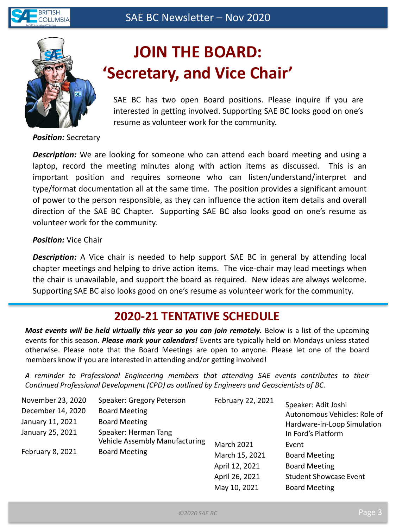



## **JOIN THE BOARD: 'Secretary, and Vice Chair'**

SAE BC has two open Board positions. Please inquire if you are interested in getting involved. Supporting SAE BC looks good on one's resume as volunteer work for the community.

*Position:* Secretary

*Description:* We are looking for someone who can attend each board meeting and using a laptop, record the meeting minutes along with action items as discussed. This is an important position and requires someone who can listen/understand/interpret and type/format documentation all at the same time. The position provides a significant amount of power to the person responsible, as they can influence the action item details and overall direction of the SAE BC Chapter. Supporting SAE BC also looks good on one's resume as volunteer work for the community.

### *Position:* Vice Chair

*Description:* A Vice chair is needed to help support SAE BC in general by attending local chapter meetings and helping to drive action items. The vice-chair may lead meetings when the chair is unavailable, and support the board as required. New ideas are always welcome. Supporting SAE BC also looks good on one's resume as volunteer work for the community.

## **2020-21 TENTATIVE SCHEDULE**

*Most events will be held virtually this year so you can join remotely.* Below is a list of the upcoming events for this season. *Please mark your calendars!* Events are typically held on Mondays unless stated otherwise. Please note that the Board Meetings are open to anyone. Please let one of the board members know if you are interested in attending and/or getting involved!

*A reminder to Professional Engineering members that attending SAE events contributes to their Continued Professional Development (CPD) as outlined by Engineers and Geoscientists of BC.*

| November 23, 2020 | Speaker: Gregory Peterson                                                             | February 22, 2021 | Speaker: Adit Joshi<br>Autonomous Vehicles: Role of<br>Hardware-in-Loop Simulation<br>In Ford's Platform |
|-------------------|---------------------------------------------------------------------------------------|-------------------|----------------------------------------------------------------------------------------------------------|
| December 14, 2020 | <b>Board Meeting</b>                                                                  |                   |                                                                                                          |
| January 11, 2021  | <b>Board Meeting</b>                                                                  |                   |                                                                                                          |
| January 25, 2021  | Speaker: Herman Tang<br><b>Vehicle Assembly Manufacturing</b><br><b>Board Meeting</b> |                   |                                                                                                          |
|                   |                                                                                       | <b>March 2021</b> | Event                                                                                                    |
| February 8, 2021  |                                                                                       | March 15, 2021    | <b>Board Meeting</b>                                                                                     |
|                   |                                                                                       | April 12, 2021    | <b>Board Meeting</b>                                                                                     |
|                   |                                                                                       | April 26, 2021    | <b>Student Showcase Event</b>                                                                            |
|                   |                                                                                       | May 10, 2021      | <b>Board Meeting</b>                                                                                     |